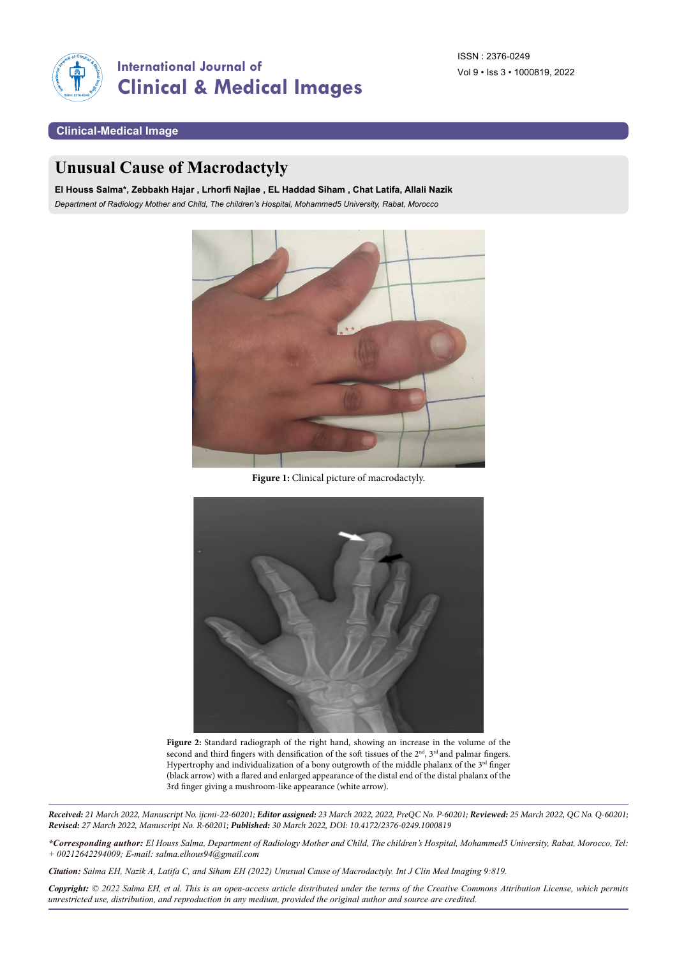

## **Clinical-Medical Image**

## **Unusual Cause of Macrodactyly**

**El Houss Salma\*, Zebbakh Hajar , Lrhorfi Najlae , EL Haddad Siham , Chat Latifa, Allali Nazik** *Department of Radiology Mother and Child, The children's Hospital, Mohammed5 University, Rabat, Morocco*



**Figure 1:** Clinical picture of macrodactyly.



**Figure 2:** Standard radiograph of the right hand, showing an increase in the volume of the second and third fingers with densification of the soft tissues of the 2<sup>nd</sup>, 3<sup>rd</sup> and palmar fingers. Hypertrophy and individualization of a bony outgrowth of the middle phalanx of the 3<sup>rd</sup> finger (black arrow) with a flared and enlarged appearance of the distal end of the distal phalanx of the 3rd finger giving a mushroom-like appearance (white arrow).

*Received: 21 March 2022, Manuscript No. ijcmi-22-60201; Editor assigned: 23 March 2022, 2022, PreQC No. P-60201; Reviewed: 25 March 2022, QC No. Q-60201; Revised: 27 March 2022, Manuscript No. R-60201; Published: 30 March 2022, DOI: 10.4172/2376-0249.1000819*

*\*Corresponding author: El Houss Salma, Department of Radiology Mother and Child, The children's Hospital, Mohammed5 University, Rabat, Morocco, Tel: + 00212642294009; E-mail: [salma.elhous94@gmail.com](mailto:salma.elhous94@gmail.com)*

*Citation: Salma EH, Nazik A, Latifa C, and Siham EH (2022) Unusual Cause of Macrodactyly. Int J Clin Med Imaging 9:819.*

*Copyright: © 2022 Salma EH, et al. This is an open-access article distributed under the terms of the Creative Commons Attribution License, which permits unrestricted use, distribution, and reproduction in any medium, provided the original author and source are credited.*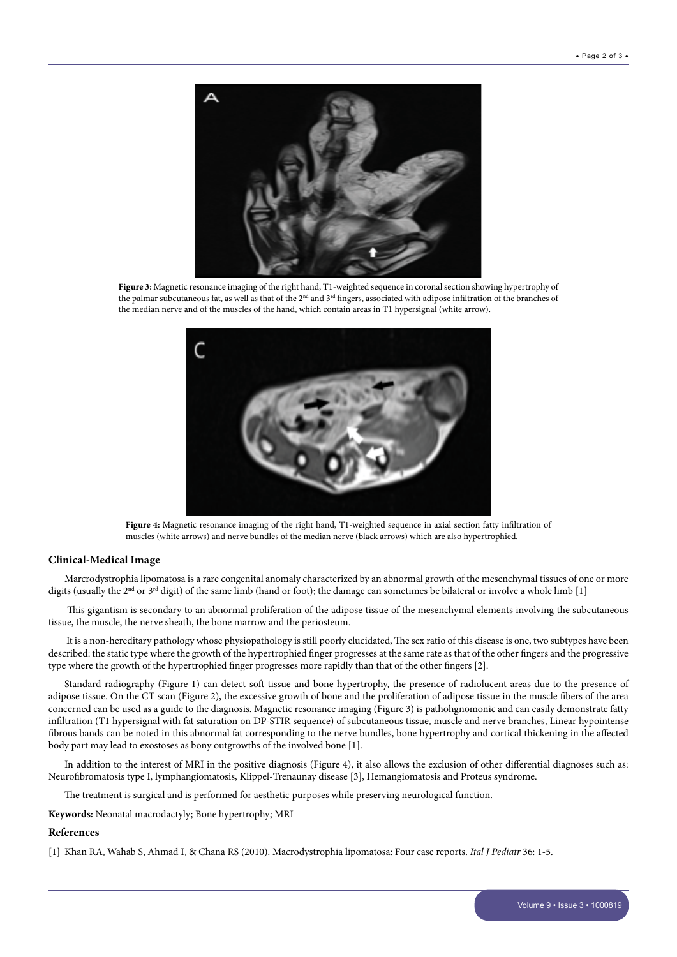

**Figure 3:** Magnetic resonance imaging of the right hand, T1-weighted sequence in coronal section showing hypertrophy of the palmar subcutaneous fat, as well as that of the 2<sup>nd</sup> and 3<sup>rd</sup> fingers, associated with adipose infiltration of the branches of the median nerve and of the muscles of the hand, which contain areas in T1 hypersignal (white arrow).



**Figure 4:** Magnetic resonance imaging of the right hand, T1-weighted sequence in axial section fatty infiltration of muscles (white arrows) and nerve bundles of the median nerve (black arrows) which are also hypertrophied.

## **Clinical-Medical Image**

Marcrodystrophia lipomatosa is a rare congenital anomaly characterized by an abnormal growth of the mesenchymal tissues of one or more digits (usually the 2<sup>nd</sup> or 3<sup>rd</sup> digit) of the same limb (hand or foot); the damage can sometimes be bilateral or involve a whole limb [1]

 This gigantism is secondary to an abnormal proliferation of the adipose tissue of the mesenchymal elements involving the subcutaneous tissue, the muscle, the nerve sheath, the bone marrow and the periosteum.

 It is a non-hereditary pathology whose physiopathology is still poorly elucidated, The sex ratio of this disease is one, two subtypes have been described: the static type where the growth of the hypertrophied finger progresses at the same rate as that of the other fingers and the progressive type where the growth of the hypertrophied finger progresses more rapidly than that of the other fingers [2].

Standard radiography (Figure 1) can detect soft tissue and bone hypertrophy, the presence of radiolucent areas due to the presence of adipose tissue. On the CT scan (Figure 2), the excessive growth of bone and the proliferation of adipose tissue in the muscle fibers of the area concerned can be used as a guide to the diagnosis. Magnetic resonance imaging (Figure 3) is pathohgnomonic and can easily demonstrate fatty infiltration (T1 hypersignal with fat saturation on DP-STIR sequence) of subcutaneous tissue, muscle and nerve branches, Linear hypointense fibrous bands can be noted in this abnormal fat corresponding to the nerve bundles, bone hypertrophy and cortical thickening in the affected body part may lead to exostoses as bony outgrowths of the involved bone [1].

In addition to the interest of MRI in the positive diagnosis (Figure 4), it also allows the exclusion of other differential diagnoses such as: Neurofibromatosis type I, lymphangiomatosis, Klippel-Trenaunay disease [3], Hemangiomatosis and Proteus syndrome.

The treatment is surgical and is performed for aesthetic purposes while preserving neurological function.

**Keywords:** Neonatal macrodactyly; Bone hypertrophy; MRI

## **References**

[1] Khan RA, Wahab S, Ahmad I, & Chana RS (2010). [Macrodystrophia lipomatosa: Four case reports](https://link.springer.com/article/10.1186/1824-7288-36-69). *Ital J Pediatr* 36: 1-5.